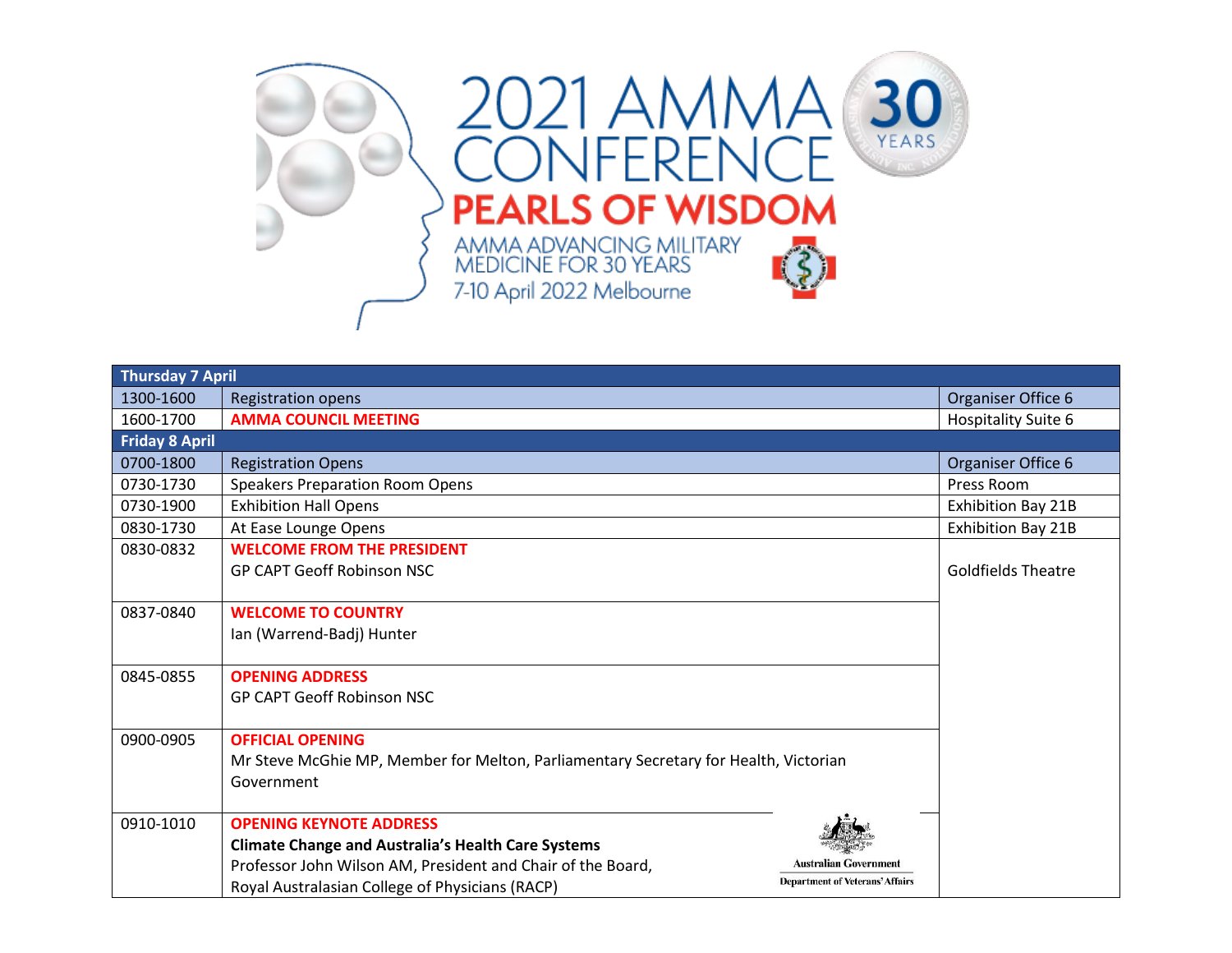

| <b>Thursday 7 April</b> |                                                                                                    |                                        |                            |
|-------------------------|----------------------------------------------------------------------------------------------------|----------------------------------------|----------------------------|
| 1300-1600               | <b>Registration opens</b>                                                                          |                                        | Organiser Office 6         |
| 1600-1700               | <b>AMMA COUNCIL MEETING</b>                                                                        |                                        | <b>Hospitality Suite 6</b> |
| <b>Friday 8 April</b>   |                                                                                                    |                                        |                            |
| 0700-1800               | <b>Registration Opens</b>                                                                          |                                        | Organiser Office 6         |
| 0730-1730               | <b>Speakers Preparation Room Opens</b>                                                             |                                        | Press Room                 |
| 0730-1900               | <b>Exhibition Hall Opens</b>                                                                       |                                        | Exhibition Bay 21B         |
| 0830-1730               | At Ease Lounge Opens                                                                               |                                        | <b>Exhibition Bay 21B</b>  |
| 0830-0832               | <b>WELCOME FROM THE PRESIDENT</b>                                                                  |                                        |                            |
|                         | <b>GP CAPT Geoff Robinson NSC</b>                                                                  |                                        | <b>Goldfields Theatre</b>  |
|                         |                                                                                                    |                                        |                            |
| 0837-0840               | <b>WELCOME TO COUNTRY</b>                                                                          |                                        |                            |
|                         | Ian (Warrend-Badj) Hunter                                                                          |                                        |                            |
|                         |                                                                                                    |                                        |                            |
| 0845-0855               | <b>OPENING ADDRESS</b>                                                                             |                                        |                            |
|                         | <b>GP CAPT Geoff Robinson NSC</b>                                                                  |                                        |                            |
|                         |                                                                                                    |                                        |                            |
| 0900-0905               | <b>OFFICIAL OPENING</b>                                                                            |                                        |                            |
|                         | Mr Steve McGhie MP, Member for Melton, Parliamentary Secretary for Health, Victorian<br>Government |                                        |                            |
|                         |                                                                                                    |                                        |                            |
| 0910-1010               | <b>OPENING KEYNOTE ADDRESS</b>                                                                     |                                        |                            |
|                         | <b>Climate Change and Australia's Health Care Systems</b>                                          |                                        |                            |
|                         | Professor John Wilson AM, President and Chair of the Board,                                        | <b>Australian Government</b>           |                            |
|                         | Royal Australasian College of Physicians (RACP)                                                    | <b>Department of Veterans' Affairs</b> |                            |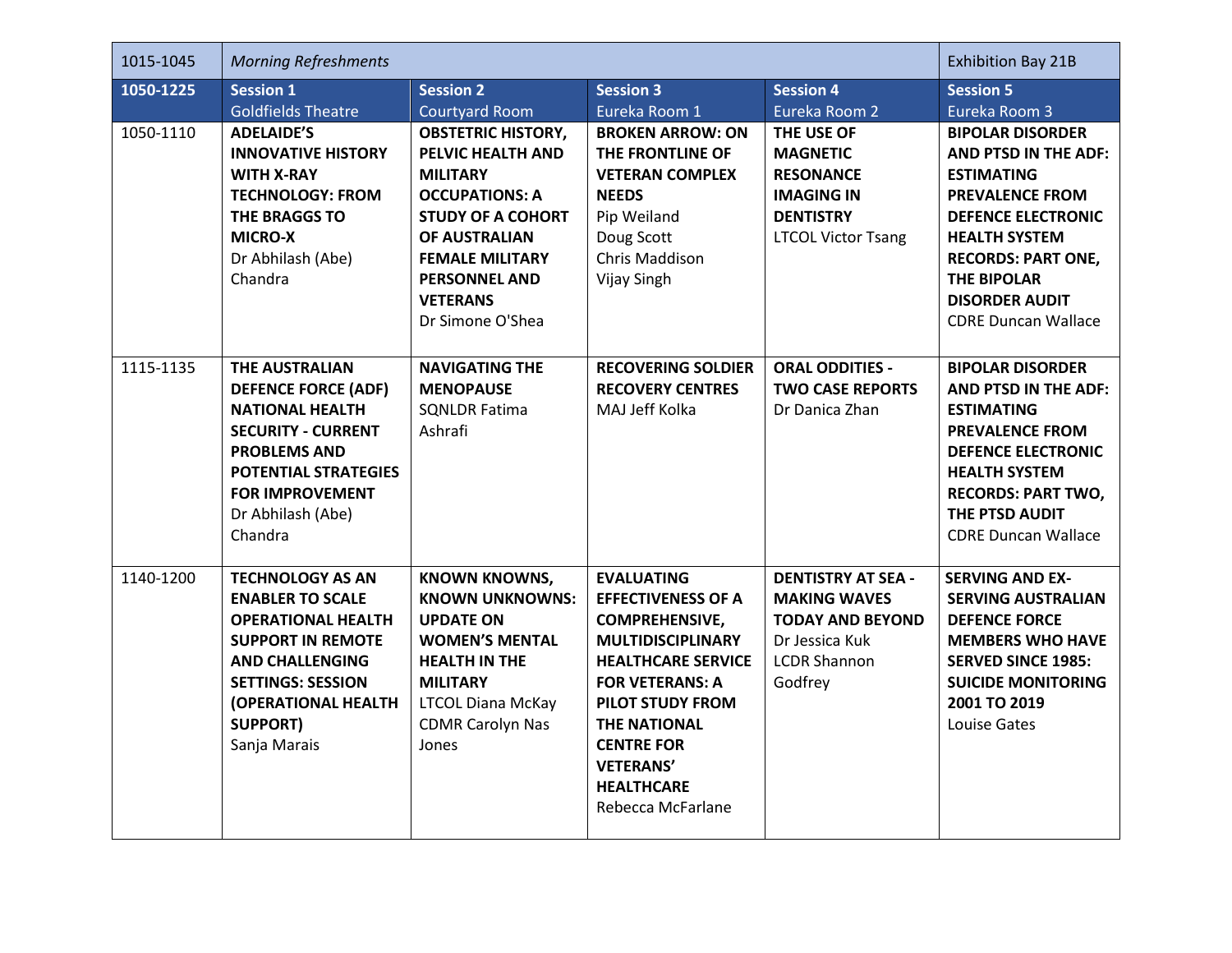| 1015-1045 | <b>Morning Refreshments</b>                                                                                                                                                                                                 | <b>Exhibition Bay 21B</b>                                                                                                                                                                                                        |                                                                                                                                                                                                                                                                                          |                                                                                                                                 |                                                                                                                                                                                                                                                                      |
|-----------|-----------------------------------------------------------------------------------------------------------------------------------------------------------------------------------------------------------------------------|----------------------------------------------------------------------------------------------------------------------------------------------------------------------------------------------------------------------------------|------------------------------------------------------------------------------------------------------------------------------------------------------------------------------------------------------------------------------------------------------------------------------------------|---------------------------------------------------------------------------------------------------------------------------------|----------------------------------------------------------------------------------------------------------------------------------------------------------------------------------------------------------------------------------------------------------------------|
| 1050-1225 | <b>Session 1</b><br><b>Goldfields Theatre</b>                                                                                                                                                                               | <b>Session 2</b><br><b>Courtyard Room</b>                                                                                                                                                                                        | <b>Session 3</b><br>Eureka Room 1                                                                                                                                                                                                                                                        | <b>Session 4</b><br>Eureka Room 2                                                                                               | <b>Session 5</b><br>Eureka Room 3                                                                                                                                                                                                                                    |
| 1050-1110 | <b>ADELAIDE'S</b><br><b>INNOVATIVE HISTORY</b><br><b>WITH X-RAY</b><br><b>TECHNOLOGY: FROM</b><br>THE BRAGGS TO<br><b>MICRO-X</b><br>Dr Abhilash (Abe)<br>Chandra                                                           | <b>OBSTETRIC HISTORY,</b><br>PELVIC HEALTH AND<br><b>MILITARY</b><br><b>OCCUPATIONS: A</b><br><b>STUDY OF A COHORT</b><br>OF AUSTRALIAN<br><b>FEMALE MILITARY</b><br><b>PERSONNEL AND</b><br><b>VETERANS</b><br>Dr Simone O'Shea | <b>BROKEN ARROW: ON</b><br>THE FRONTLINE OF<br><b>VETERAN COMPLEX</b><br><b>NEEDS</b><br>Pip Weiland<br>Doug Scott<br>Chris Maddison<br>Vijay Singh                                                                                                                                      | THE USE OF<br><b>MAGNETIC</b><br><b>RESONANCE</b><br><b>IMAGING IN</b><br><b>DENTISTRY</b><br><b>LTCOL Victor Tsang</b>         | <b>BIPOLAR DISORDER</b><br><b>AND PTSD IN THE ADF:</b><br><b>ESTIMATING</b><br><b>PREVALENCE FROM</b><br><b>DEFENCE ELECTRONIC</b><br><b>HEALTH SYSTEM</b><br><b>RECORDS: PART ONE,</b><br><b>THE BIPOLAR</b><br><b>DISORDER AUDIT</b><br><b>CDRE Duncan Wallace</b> |
| 1115-1135 | <b>THE AUSTRALIAN</b><br><b>DEFENCE FORCE (ADF)</b><br><b>NATIONAL HEALTH</b><br><b>SECURITY - CURRENT</b><br><b>PROBLEMS AND</b><br><b>POTENTIAL STRATEGIES</b><br><b>FOR IMPROVEMENT</b><br>Dr Abhilash (Abe)<br>Chandra  | <b>NAVIGATING THE</b><br><b>MENOPAUSE</b><br><b>SQNLDR Fatima</b><br>Ashrafi                                                                                                                                                     | <b>RECOVERING SOLDIER</b><br><b>RECOVERY CENTRES</b><br>MAJ Jeff Kolka                                                                                                                                                                                                                   | <b>ORAL ODDITIES -</b><br><b>TWO CASE REPORTS</b><br>Dr Danica Zhan                                                             | <b>BIPOLAR DISORDER</b><br><b>AND PTSD IN THE ADF:</b><br><b>ESTIMATING</b><br><b>PREVALENCE FROM</b><br><b>DEFENCE ELECTRONIC</b><br><b>HEALTH SYSTEM</b><br><b>RECORDS: PART TWO,</b><br>THE PTSD AUDIT<br><b>CDRE Duncan Wallace</b>                              |
| 1140-1200 | <b>TECHNOLOGY AS AN</b><br><b>ENABLER TO SCALE</b><br><b>OPERATIONAL HEALTH</b><br><b>SUPPORT IN REMOTE</b><br><b>AND CHALLENGING</b><br><b>SETTINGS: SESSION</b><br>(OPERATIONAL HEALTH<br><b>SUPPORT)</b><br>Sanja Marais | <b>KNOWN KNOWNS,</b><br><b>KNOWN UNKNOWNS:</b><br><b>UPDATE ON</b><br><b>WOMEN'S MENTAL</b><br><b>HEALTH IN THE</b><br><b>MILITARY</b><br><b>LTCOL Diana McKay</b><br><b>CDMR Carolyn Nas</b><br>Jones                           | <b>EVALUATING</b><br><b>EFFECTIVENESS OF A</b><br><b>COMPREHENSIVE,</b><br><b>MULTIDISCIPLINARY</b><br><b>HEALTHCARE SERVICE</b><br><b>FOR VETERANS: A</b><br>PILOT STUDY FROM<br><b>THE NATIONAL</b><br><b>CENTRE FOR</b><br><b>VETERANS'</b><br><b>HEALTHCARE</b><br>Rebecca McFarlane | <b>DENTISTRY AT SEA -</b><br><b>MAKING WAVES</b><br><b>TODAY AND BEYOND</b><br>Dr Jessica Kuk<br><b>LCDR Shannon</b><br>Godfrey | <b>SERVING AND EX-</b><br><b>SERVING AUSTRALIAN</b><br><b>DEFENCE FORCE</b><br><b>MEMBERS WHO HAVE</b><br><b>SERVED SINCE 1985:</b><br><b>SUICIDE MONITORING</b><br>2001 TO 2019<br>Louise Gates                                                                     |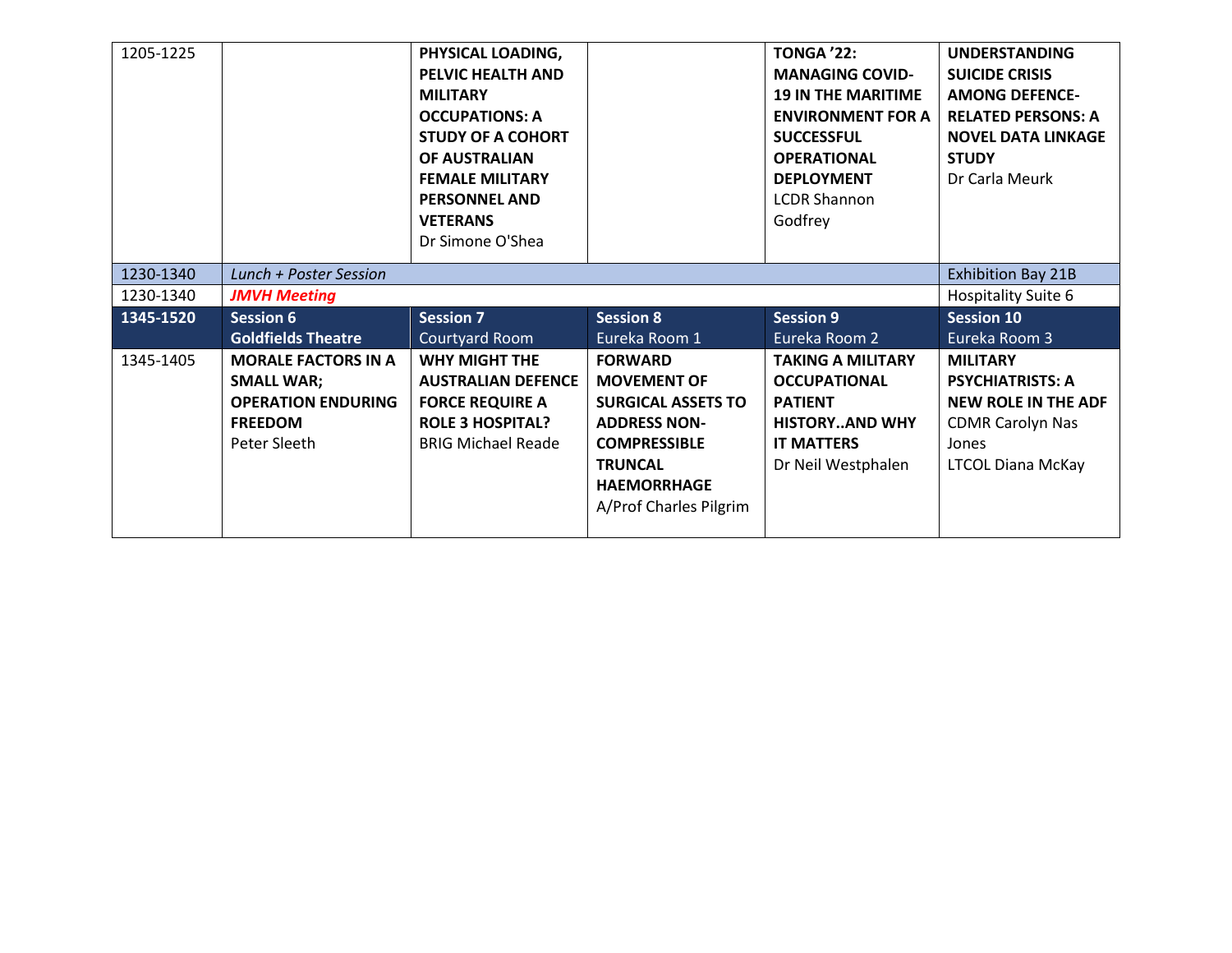| 1205-1225 |                            | PHYSICAL LOADING,         |                           | <b>TONGA '22:</b>         | <b>UNDERSTANDING</b>       |
|-----------|----------------------------|---------------------------|---------------------------|---------------------------|----------------------------|
|           |                            | PELVIC HEALTH AND         |                           | <b>MANAGING COVID-</b>    | <b>SUICIDE CRISIS</b>      |
|           |                            | <b>MILITARY</b>           |                           | <b>19 IN THE MARITIME</b> | <b>AMONG DEFENCE-</b>      |
|           |                            | <b>OCCUPATIONS: A</b>     |                           | <b>ENVIRONMENT FOR A</b>  | <b>RELATED PERSONS: A</b>  |
|           |                            | <b>STUDY OF A COHORT</b>  |                           | <b>SUCCESSFUL</b>         | <b>NOVEL DATA LINKAGE</b>  |
|           |                            | <b>OF AUSTRALIAN</b>      |                           | <b>OPERATIONAL</b>        | <b>STUDY</b>               |
|           |                            | <b>FEMALE MILITARY</b>    |                           | <b>DEPLOYMENT</b>         | Dr Carla Meurk             |
|           |                            | <b>PERSONNEL AND</b>      |                           | <b>LCDR Shannon</b>       |                            |
|           |                            | <b>VETERANS</b>           |                           | Godfrey                   |                            |
|           |                            | Dr Simone O'Shea          |                           |                           |                            |
| 1230-1340 | Lunch + Poster Session     | <b>Exhibition Bay 21B</b> |                           |                           |                            |
| 1230-1340 | <b>JMVH Meeting</b>        |                           |                           |                           | Hospitality Suite 6        |
| 1345-1520 | <b>Session 6</b>           | <b>Session 7</b>          | <b>Session 8</b>          | <b>Session 9</b>          | <b>Session 10</b>          |
|           | <b>Goldfields Theatre</b>  | Courtyard Room            | Eureka Room 1             | Eureka Room 2             | Eureka Room 3              |
| 1345-1405 | <b>MORALE FACTORS IN A</b> | <b>WHY MIGHT THE</b>      | <b>FORWARD</b>            | <b>TAKING A MILITARY</b>  | <b>MILITARY</b>            |
|           | <b>SMALL WAR;</b>          | <b>AUSTRALIAN DEFENCE</b> | <b>MOVEMENT OF</b>        | <b>OCCUPATIONAL</b>       | <b>PSYCHIATRISTS: A</b>    |
|           | <b>OPERATION ENDURING</b>  | <b>FORCE REQUIRE A</b>    | <b>SURGICAL ASSETS TO</b> | <b>PATIENT</b>            | <b>NEW ROLE IN THE ADF</b> |
|           | <b>FREEDOM</b>             | <b>ROLE 3 HOSPITAL?</b>   | <b>ADDRESS NON-</b>       | <b>HISTORYAND WHY</b>     | <b>CDMR Carolyn Nas</b>    |
|           | Peter Sleeth               | <b>BRIG Michael Reade</b> | <b>COMPRESSIBLE</b>       | <b>IT MATTERS</b>         | Jones                      |
|           |                            |                           | <b>TRUNCAL</b>            | Dr Neil Westphalen        | <b>LTCOL Diana McKay</b>   |
|           |                            |                           | <b>HAEMORRHAGE</b>        |                           |                            |
|           |                            |                           |                           |                           |                            |
|           |                            |                           | A/Prof Charles Pilgrim    |                           |                            |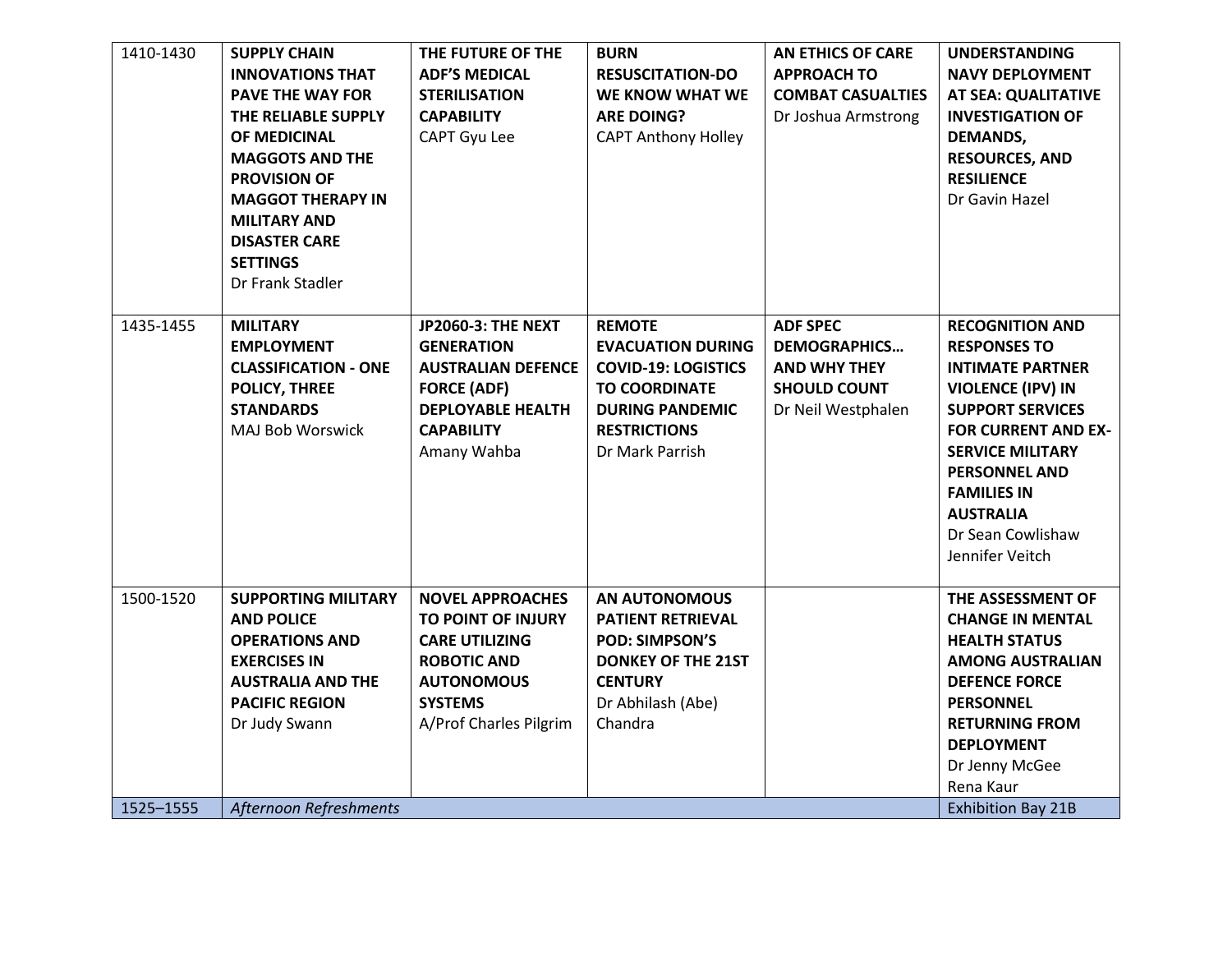| 1410-1430 | <b>SUPPLY CHAIN</b>         | THE FUTURE OF THE         | <b>BURN</b>                | <b>AN ETHICS OF CARE</b> | <b>UNDERSTANDING</b>       |
|-----------|-----------------------------|---------------------------|----------------------------|--------------------------|----------------------------|
|           | <b>INNOVATIONS THAT</b>     | <b>ADF'S MEDICAL</b>      | <b>RESUSCITATION-DO</b>    | <b>APPROACH TO</b>       | <b>NAVY DEPLOYMENT</b>     |
|           | <b>PAVE THE WAY FOR</b>     | <b>STERILISATION</b>      | WE KNOW WHAT WE            | <b>COMBAT CASUALTIES</b> | AT SEA: QUALITATIVE        |
|           | THE RELIABLE SUPPLY         | <b>CAPABILITY</b>         | <b>ARE DOING?</b>          | Dr Joshua Armstrong      | <b>INVESTIGATION OF</b>    |
|           | OF MEDICINAL                | CAPT Gyu Lee              | <b>CAPT Anthony Holley</b> |                          | <b>DEMANDS,</b>            |
|           | <b>MAGGOTS AND THE</b>      |                           |                            |                          | <b>RESOURCES, AND</b>      |
|           | <b>PROVISION OF</b>         |                           |                            |                          | <b>RESILIENCE</b>          |
|           | <b>MAGGOT THERAPY IN</b>    |                           |                            |                          | Dr Gavin Hazel             |
|           | <b>MILITARY AND</b>         |                           |                            |                          |                            |
|           | <b>DISASTER CARE</b>        |                           |                            |                          |                            |
|           | <b>SETTINGS</b>             |                           |                            |                          |                            |
|           | Dr Frank Stadler            |                           |                            |                          |                            |
|           |                             |                           |                            |                          |                            |
| 1435-1455 | <b>MILITARY</b>             | <b>JP2060-3: THE NEXT</b> | <b>REMOTE</b>              | <b>ADF SPEC</b>          | <b>RECOGNITION AND</b>     |
|           | <b>EMPLOYMENT</b>           | <b>GENERATION</b>         | <b>EVACUATION DURING</b>   | <b>DEMOGRAPHICS</b>      | <b>RESPONSES TO</b>        |
|           | <b>CLASSIFICATION - ONE</b> | <b>AUSTRALIAN DEFENCE</b> | <b>COVID-19: LOGISTICS</b> | <b>AND WHY THEY</b>      | <b>INTIMATE PARTNER</b>    |
|           | <b>POLICY, THREE</b>        | <b>FORCE (ADF)</b>        | <b>TO COORDINATE</b>       | <b>SHOULD COUNT</b>      | <b>VIOLENCE (IPV) IN</b>   |
|           | <b>STANDARDS</b>            | <b>DEPLOYABLE HEALTH</b>  | <b>DURING PANDEMIC</b>     | Dr Neil Westphalen       | <b>SUPPORT SERVICES</b>    |
|           | MAJ Bob Worswick            | <b>CAPABILITY</b>         | <b>RESTRICTIONS</b>        |                          | <b>FOR CURRENT AND EX-</b> |
|           |                             | Amany Wahba               | Dr Mark Parrish            |                          | <b>SERVICE MILITARY</b>    |
|           |                             |                           |                            |                          | <b>PERSONNEL AND</b>       |
|           |                             |                           |                            |                          | <b>FAMILIES IN</b>         |
|           |                             |                           |                            |                          | <b>AUSTRALIA</b>           |
|           |                             |                           |                            |                          | Dr Sean Cowlishaw          |
|           |                             |                           |                            |                          | Jennifer Veitch            |
|           |                             |                           |                            |                          |                            |
| 1500-1520 | <b>SUPPORTING MILITARY</b>  | <b>NOVEL APPROACHES</b>   | AN AUTONOMOUS              |                          | THE ASSESSMENT OF          |
|           | <b>AND POLICE</b>           | TO POINT OF INJURY        | <b>PATIENT RETRIEVAL</b>   |                          | <b>CHANGE IN MENTAL</b>    |
|           | <b>OPERATIONS AND</b>       | <b>CARE UTILIZING</b>     | <b>POD: SIMPSON'S</b>      |                          | <b>HEALTH STATUS</b>       |
|           | <b>EXERCISES IN</b>         | <b>ROBOTIC AND</b>        | <b>DONKEY OF THE 21ST</b>  |                          | <b>AMONG AUSTRALIAN</b>    |
|           | <b>AUSTRALIA AND THE</b>    | <b>AUTONOMOUS</b>         | <b>CENTURY</b>             |                          | <b>DEFENCE FORCE</b>       |
|           | <b>PACIFIC REGION</b>       | <b>SYSTEMS</b>            | Dr Abhilash (Abe)          |                          | <b>PERSONNEL</b>           |
|           | Dr Judy Swann               | A/Prof Charles Pilgrim    | Chandra                    |                          | <b>RETURNING FROM</b>      |
|           |                             |                           |                            |                          | <b>DEPLOYMENT</b>          |
|           |                             |                           |                            |                          | Dr Jenny McGee             |
|           |                             |                           |                            |                          | Rena Kaur                  |
| 1525-1555 | Afternoon Refreshments      |                           |                            |                          | <b>Exhibition Bay 21B</b>  |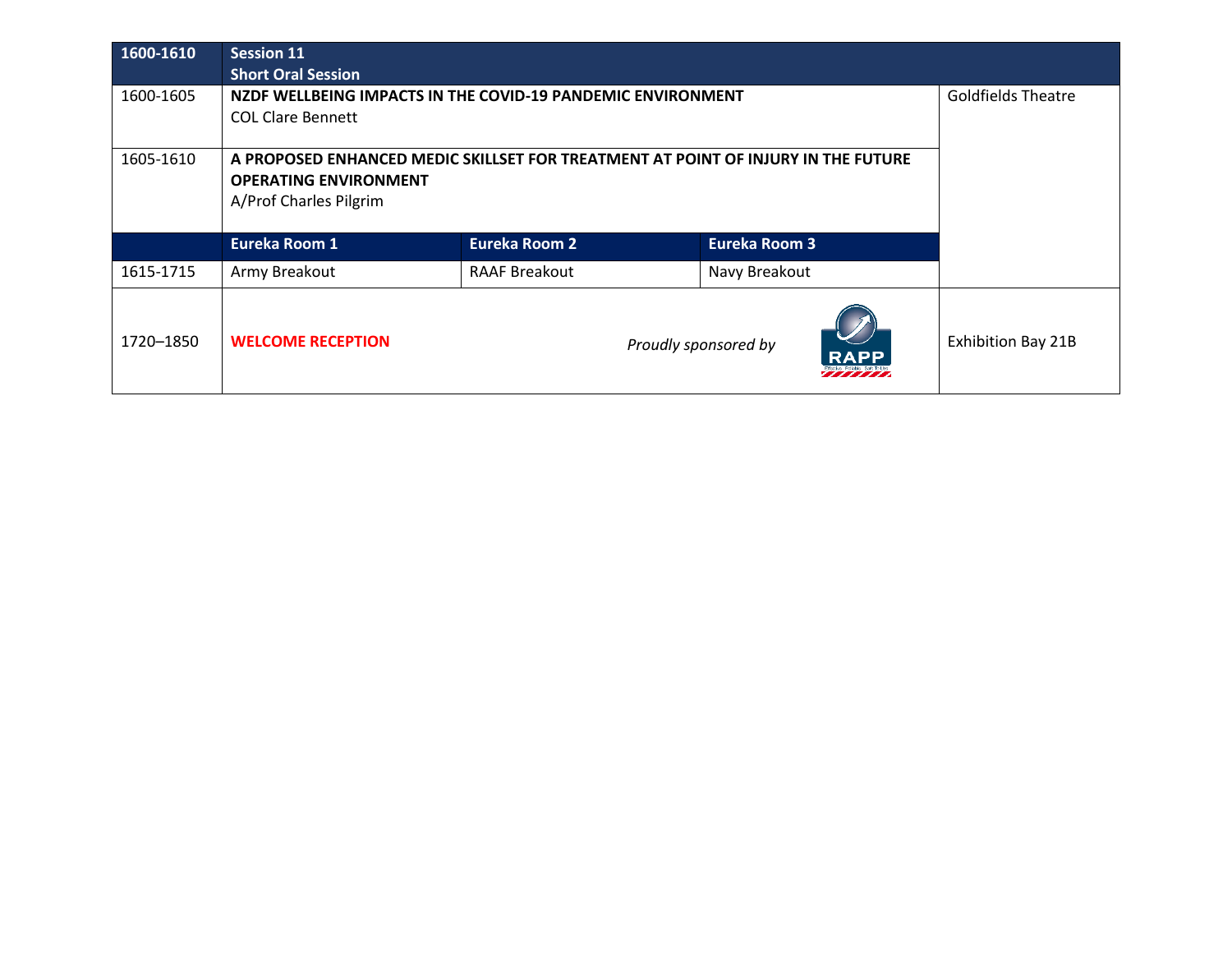| 1600-1610 | <b>Session 11</b>                                                                 |                                                             |                      |                           |
|-----------|-----------------------------------------------------------------------------------|-------------------------------------------------------------|----------------------|---------------------------|
|           | <b>Short Oral Session</b>                                                         |                                                             |                      |                           |
| 1600-1605 |                                                                                   | NZDF WELLBEING IMPACTS IN THE COVID-19 PANDEMIC ENVIRONMENT |                      | <b>Goldfields Theatre</b> |
|           | <b>COL Clare Bennett</b>                                                          |                                                             |                      |                           |
|           |                                                                                   |                                                             |                      |                           |
| 1605-1610 | A PROPOSED ENHANCED MEDIC SKILLSET FOR TREATMENT AT POINT OF INJURY IN THE FUTURE |                                                             |                      |                           |
|           | <b>OPERATING ENVIRONMENT</b>                                                      |                                                             |                      |                           |
|           | A/Prof Charles Pilgrim                                                            |                                                             |                      |                           |
|           | <b>Eureka Room 1</b>                                                              | <b>Eureka Room 2</b>                                        | <b>Eureka Room 3</b> |                           |
| 1615-1715 | Army Breakout                                                                     | <b>RAAF Breakout</b>                                        | Navy Breakout        |                           |
| 1720–1850 | <b>WELCOME RECEPTION</b>                                                          |                                                             | Proudly sponsored by | <b>Exhibition Bay 21B</b> |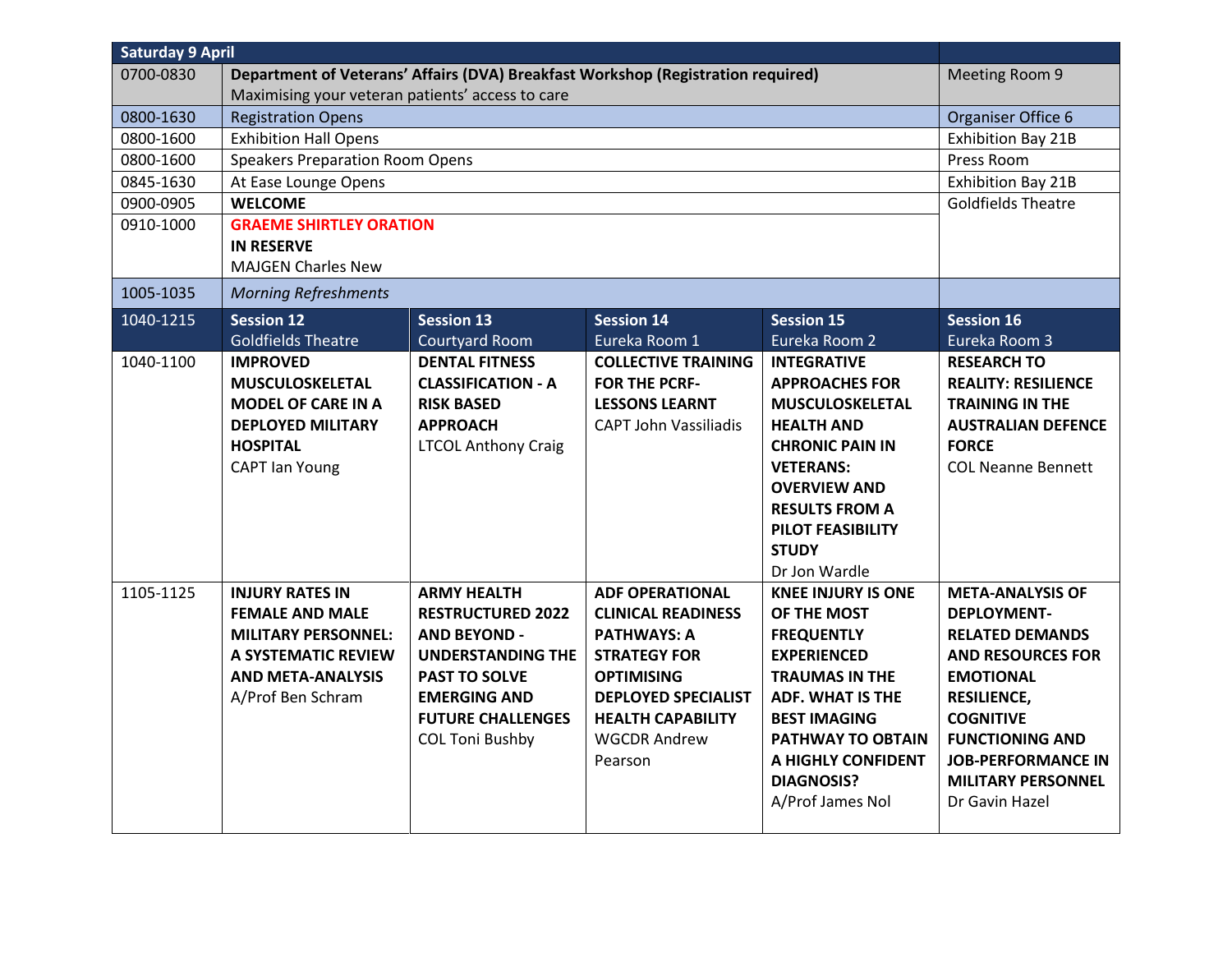| <b>Saturday 9 April</b> |                                                                                                                                                               |                                                                                                                                                                                                 |                                                                                                                                                                                                                   |                                                                                                                                                                                                                                                           |                                                                                                                                                                                                                                                                         |
|-------------------------|---------------------------------------------------------------------------------------------------------------------------------------------------------------|-------------------------------------------------------------------------------------------------------------------------------------------------------------------------------------------------|-------------------------------------------------------------------------------------------------------------------------------------------------------------------------------------------------------------------|-----------------------------------------------------------------------------------------------------------------------------------------------------------------------------------------------------------------------------------------------------------|-------------------------------------------------------------------------------------------------------------------------------------------------------------------------------------------------------------------------------------------------------------------------|
| 0700-0830               | Department of Veterans' Affairs (DVA) Breakfast Workshop (Registration required)                                                                              |                                                                                                                                                                                                 |                                                                                                                                                                                                                   |                                                                                                                                                                                                                                                           | Meeting Room 9                                                                                                                                                                                                                                                          |
|                         | Maximising your veteran patients' access to care                                                                                                              |                                                                                                                                                                                                 |                                                                                                                                                                                                                   |                                                                                                                                                                                                                                                           |                                                                                                                                                                                                                                                                         |
| 0800-1630               | <b>Registration Opens</b>                                                                                                                                     |                                                                                                                                                                                                 |                                                                                                                                                                                                                   |                                                                                                                                                                                                                                                           | Organiser Office 6                                                                                                                                                                                                                                                      |
| 0800-1600               | <b>Exhibition Hall Opens</b>                                                                                                                                  |                                                                                                                                                                                                 |                                                                                                                                                                                                                   |                                                                                                                                                                                                                                                           | <b>Exhibition Bay 21B</b>                                                                                                                                                                                                                                               |
| 0800-1600               | <b>Speakers Preparation Room Opens</b>                                                                                                                        |                                                                                                                                                                                                 |                                                                                                                                                                                                                   |                                                                                                                                                                                                                                                           | Press Room                                                                                                                                                                                                                                                              |
| 0845-1630               | At Ease Lounge Opens                                                                                                                                          |                                                                                                                                                                                                 |                                                                                                                                                                                                                   |                                                                                                                                                                                                                                                           | <b>Exhibition Bay 21B</b>                                                                                                                                                                                                                                               |
| 0900-0905               | <b>WELCOME</b>                                                                                                                                                |                                                                                                                                                                                                 |                                                                                                                                                                                                                   |                                                                                                                                                                                                                                                           | <b>Goldfields Theatre</b>                                                                                                                                                                                                                                               |
| 0910-1000               | <b>GRAEME SHIRTLEY ORATION</b><br><b>IN RESERVE</b><br><b>MAJGEN Charles New</b>                                                                              |                                                                                                                                                                                                 |                                                                                                                                                                                                                   |                                                                                                                                                                                                                                                           |                                                                                                                                                                                                                                                                         |
| 1005-1035               | <b>Morning Refreshments</b>                                                                                                                                   |                                                                                                                                                                                                 |                                                                                                                                                                                                                   |                                                                                                                                                                                                                                                           |                                                                                                                                                                                                                                                                         |
| 1040-1215               | <b>Session 12</b>                                                                                                                                             | <b>Session 13</b>                                                                                                                                                                               | <b>Session 14</b>                                                                                                                                                                                                 | <b>Session 15</b>                                                                                                                                                                                                                                         | <b>Session 16</b>                                                                                                                                                                                                                                                       |
|                         | <b>Goldfields Theatre</b>                                                                                                                                     | <b>Courtyard Room</b>                                                                                                                                                                           | Eureka Room 1                                                                                                                                                                                                     | Eureka Room 2                                                                                                                                                                                                                                             | Eureka Room 3                                                                                                                                                                                                                                                           |
| 1040-1100               | <b>IMPROVED</b><br><b>MUSCULOSKELETAL</b><br><b>MODEL OF CARE IN A</b><br><b>DEPLOYED MILITARY</b><br><b>HOSPITAL</b><br><b>CAPT lan Young</b>                | <b>DENTAL FITNESS</b><br><b>CLASSIFICATION - A</b><br><b>RISK BASED</b><br><b>APPROACH</b><br><b>LTCOL Anthony Craig</b>                                                                        | <b>COLLECTIVE TRAINING</b><br><b>FOR THE PCRF-</b><br><b>LESSONS LEARNT</b><br><b>CAPT John Vassiliadis</b>                                                                                                       | <b>INTEGRATIVE</b><br><b>APPROACHES FOR</b><br><b>MUSCULOSKELETAL</b><br><b>HEALTH AND</b><br><b>CHRONIC PAIN IN</b><br><b>VETERANS:</b><br><b>OVERVIEW AND</b><br><b>RESULTS FROM A</b><br>PILOT FEASIBILITY<br><b>STUDY</b><br>Dr Jon Wardle            | <b>RESEARCH TO</b><br><b>REALITY: RESILIENCE</b><br><b>TRAINING IN THE</b><br><b>AUSTRALIAN DEFENCE</b><br><b>FORCE</b><br><b>COL Neanne Bennett</b>                                                                                                                    |
| 1105-1125               | <b>INJURY RATES IN</b><br><b>FEMALE AND MALE</b><br><b>MILITARY PERSONNEL:</b><br><b>A SYSTEMATIC REVIEW</b><br><b>AND META-ANALYSIS</b><br>A/Prof Ben Schram | <b>ARMY HEALTH</b><br><b>RESTRUCTURED 2022</b><br><b>AND BEYOND -</b><br>UNDERSTANDING THE<br><b>PAST TO SOLVE</b><br><b>EMERGING AND</b><br><b>FUTURE CHALLENGES</b><br><b>COL Toni Bushby</b> | <b>ADF OPERATIONAL</b><br><b>CLINICAL READINESS</b><br><b>PATHWAYS: A</b><br><b>STRATEGY FOR</b><br><b>OPTIMISING</b><br><b>DEPLOYED SPECIALIST</b><br><b>HEALTH CAPABILITY</b><br><b>WGCDR Andrew</b><br>Pearson | <b>KNEE INJURY IS ONE</b><br>OF THE MOST<br><b>FREQUENTLY</b><br><b>EXPERIENCED</b><br><b>TRAUMAS IN THE</b><br><b>ADF. WHAT IS THE</b><br><b>BEST IMAGING</b><br><b>PATHWAY TO OBTAIN</b><br>A HIGHLY CONFIDENT<br><b>DIAGNOSIS?</b><br>A/Prof James Nol | <b>META-ANALYSIS OF</b><br><b>DEPLOYMENT-</b><br><b>RELATED DEMANDS</b><br><b>AND RESOURCES FOR</b><br><b>EMOTIONAL</b><br><b>RESILIENCE,</b><br><b>COGNITIVE</b><br><b>FUNCTIONING AND</b><br><b>JOB-PERFORMANCE IN</b><br><b>MILITARY PERSONNEL</b><br>Dr Gavin Hazel |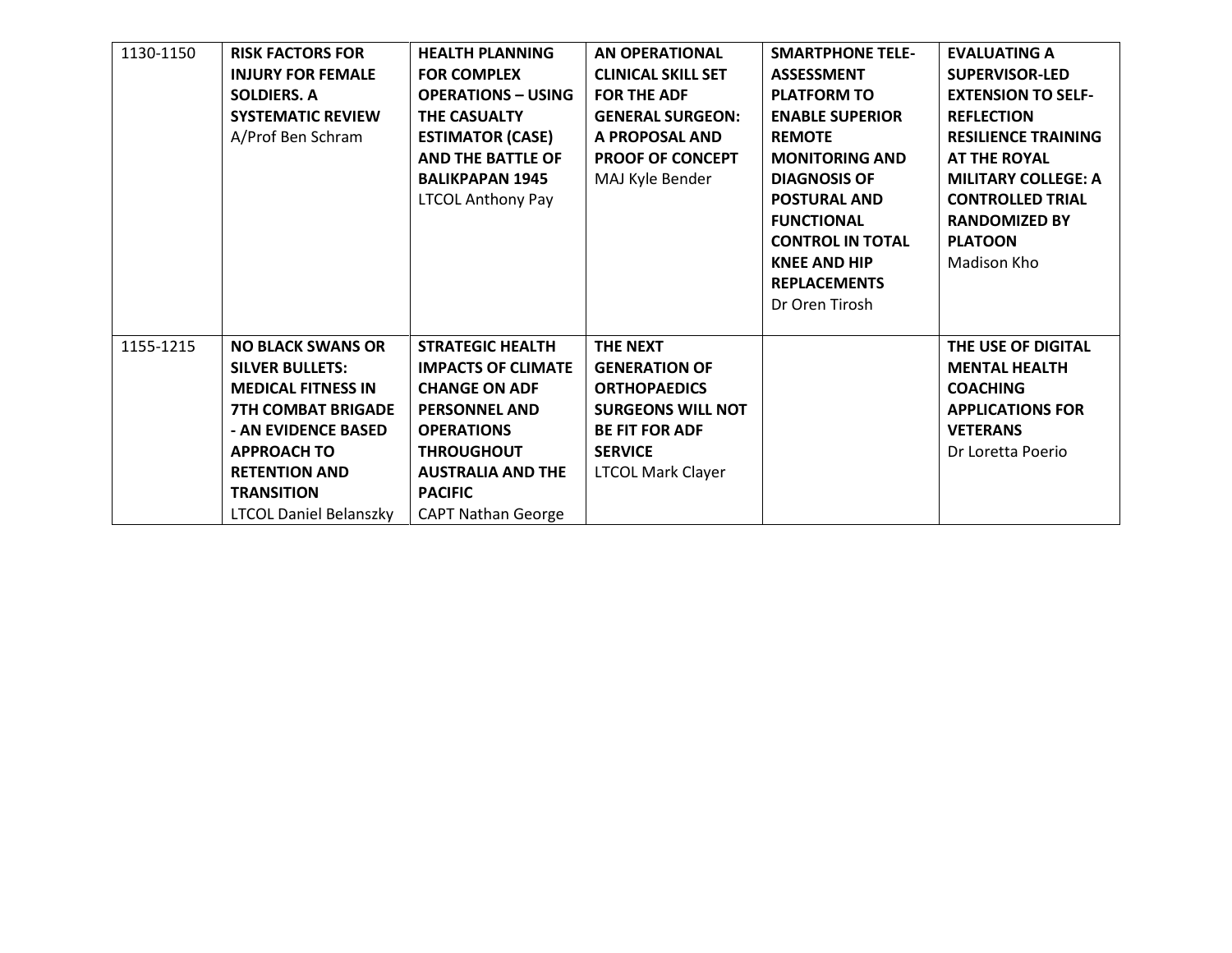| 1130-1150 | <b>RISK FACTORS FOR</b>       | <b>HEALTH PLANNING</b>    | <b>AN OPERATIONAL</b>     | <b>SMARTPHONE TELE-</b> | <b>EVALUATING A</b>        |
|-----------|-------------------------------|---------------------------|---------------------------|-------------------------|----------------------------|
|           | <b>INJURY FOR FEMALE</b>      | <b>FOR COMPLEX</b>        | <b>CLINICAL SKILL SET</b> | <b>ASSESSMENT</b>       | <b>SUPERVISOR-LED</b>      |
|           | <b>SOLDIERS, A</b>            | <b>OPERATIONS - USING</b> | <b>FOR THE ADF</b>        | <b>PLATFORM TO</b>      | <b>EXTENSION TO SELF-</b>  |
|           | <b>SYSTEMATIC REVIEW</b>      | <b>THE CASUALTY</b>       | <b>GENERAL SURGEON:</b>   | <b>ENABLE SUPERIOR</b>  | <b>REFLECTION</b>          |
|           | A/Prof Ben Schram             | <b>ESTIMATOR (CASE)</b>   | A PROPOSAL AND            | <b>REMOTE</b>           | <b>RESILIENCE TRAINING</b> |
|           |                               | <b>AND THE BATTLE OF</b>  | <b>PROOF OF CONCEPT</b>   | <b>MONITORING AND</b>   | <b>AT THE ROYAL</b>        |
|           |                               | <b>BALIKPAPAN 1945</b>    | MAJ Kyle Bender           | <b>DIAGNOSIS OF</b>     | <b>MILITARY COLLEGE: A</b> |
|           |                               | <b>LTCOL Anthony Pay</b>  |                           | <b>POSTURAL AND</b>     | <b>CONTROLLED TRIAL</b>    |
|           |                               |                           |                           | <b>FUNCTIONAL</b>       | <b>RANDOMIZED BY</b>       |
|           |                               |                           |                           | <b>CONTROL IN TOTAL</b> | <b>PLATOON</b>             |
|           |                               |                           |                           | <b>KNEE AND HIP</b>     | Madison Kho                |
|           |                               |                           |                           | <b>REPLACEMENTS</b>     |                            |
|           |                               |                           |                           | Dr Oren Tirosh          |                            |
|           |                               |                           |                           |                         |                            |
| 1155-1215 | <b>NO BLACK SWANS OR</b>      | <b>STRATEGIC HEALTH</b>   | THE NEXT                  |                         | THE USE OF DIGITAL         |
|           | <b>SILVER BULLETS:</b>        | <b>IMPACTS OF CLIMATE</b> | <b>GENERATION OF</b>      |                         | <b>MENTAL HEALTH</b>       |
|           | <b>MEDICAL FITNESS IN</b>     | <b>CHANGE ON ADF</b>      | <b>ORTHOPAEDICS</b>       |                         | <b>COACHING</b>            |
|           | <b>7TH COMBAT BRIGADE</b>     | <b>PERSONNEL AND</b>      | <b>SURGEONS WILL NOT</b>  |                         | <b>APPLICATIONS FOR</b>    |
|           | - AN EVIDENCE BASED           | <b>OPERATIONS</b>         | <b>BE FIT FOR ADF</b>     |                         | <b>VETERANS</b>            |
|           | <b>APPROACH TO</b>            | <b>THROUGHOUT</b>         | <b>SERVICE</b>            |                         | Dr Loretta Poerio          |
|           | <b>RETENTION AND</b>          | <b>AUSTRALIA AND THE</b>  | <b>LTCOL Mark Clayer</b>  |                         |                            |
|           | <b>TRANSITION</b>             | <b>PACIFIC</b>            |                           |                         |                            |
|           | <b>LTCOL Daniel Belanszky</b> | <b>CAPT Nathan George</b> |                           |                         |                            |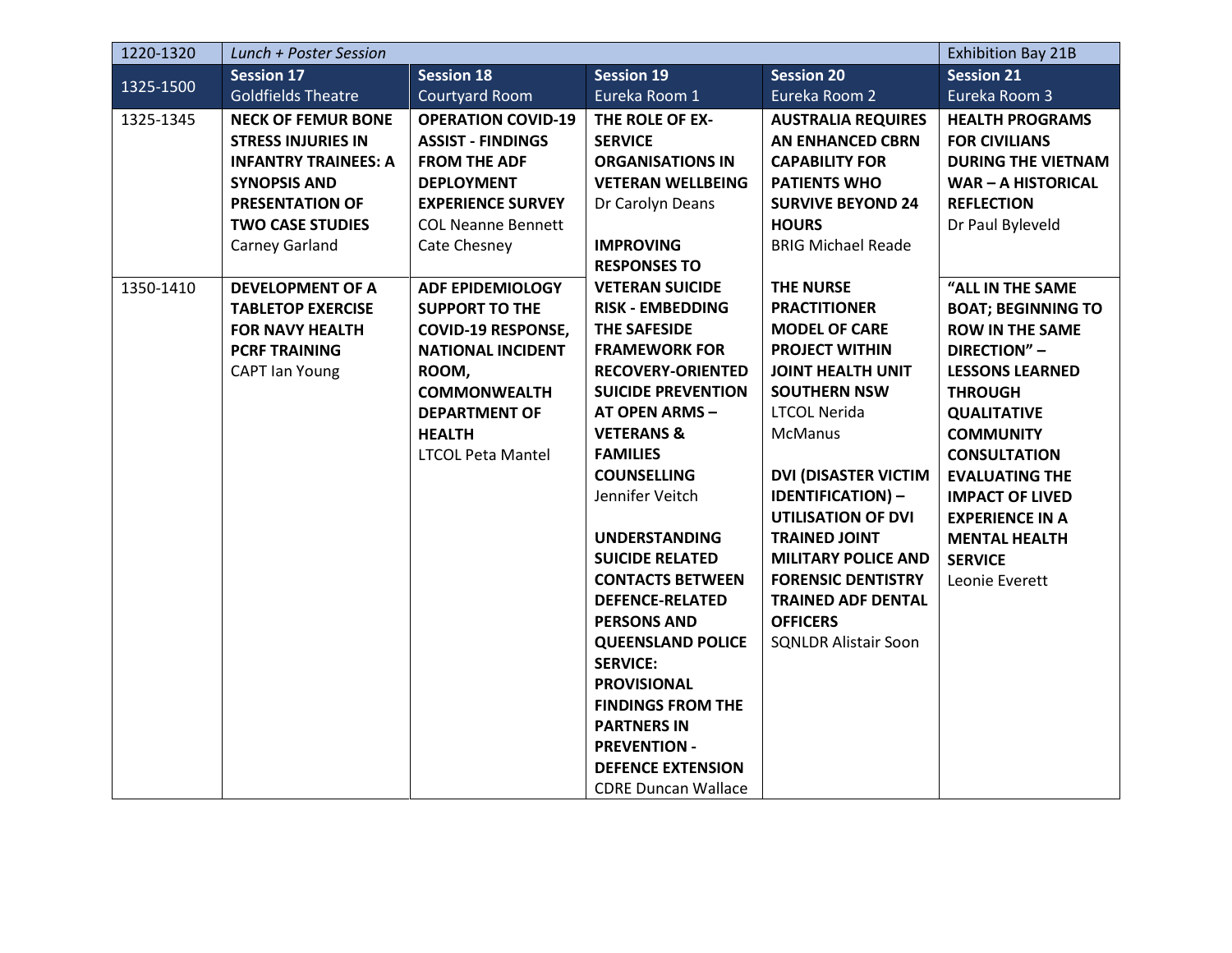| 1220-1320 | Lunch + Poster Session      |                           |                                                | <b>Exhibition Bay 21B</b>   |                           |
|-----------|-----------------------------|---------------------------|------------------------------------------------|-----------------------------|---------------------------|
| 1325-1500 | <b>Session 17</b>           | <b>Session 18</b>         | <b>Session 19</b>                              | <b>Session 20</b>           | <b>Session 21</b>         |
|           | <b>Goldfields Theatre</b>   | <b>Courtyard Room</b>     | Eureka Room 1                                  | Eureka Room 2               | Eureka Room 3             |
| 1325-1345 | <b>NECK OF FEMUR BONE</b>   | <b>OPERATION COVID-19</b> | THE ROLE OF EX-                                | <b>AUSTRALIA REQUIRES</b>   | <b>HEALTH PROGRAMS</b>    |
|           | <b>STRESS INJURIES IN</b>   | <b>ASSIST - FINDINGS</b>  | <b>SERVICE</b>                                 | <b>AN ENHANCED CBRN</b>     | <b>FOR CIVILIANS</b>      |
|           | <b>INFANTRY TRAINEES: A</b> | <b>FROM THE ADF</b>       | <b>ORGANISATIONS IN</b>                        | <b>CAPABILITY FOR</b>       | <b>DURING THE VIETNAM</b> |
|           | <b>SYNOPSIS AND</b>         | <b>DEPLOYMENT</b>         | <b>VETERAN WELLBEING</b>                       | <b>PATIENTS WHO</b>         | <b>WAR-A HISTORICAL</b>   |
|           | <b>PRESENTATION OF</b>      | <b>EXPERIENCE SURVEY</b>  | Dr Carolyn Deans                               | <b>SURVIVE BEYOND 24</b>    | <b>REFLECTION</b>         |
|           | <b>TWO CASE STUDIES</b>     | <b>COL Neanne Bennett</b> |                                                | <b>HOURS</b>                | Dr Paul Byleveld          |
|           | Carney Garland              | Cate Chesney              | <b>IMPROVING</b>                               | <b>BRIG Michael Reade</b>   |                           |
|           |                             |                           | <b>RESPONSES TO</b>                            |                             |                           |
| 1350-1410 | <b>DEVELOPMENT OF A</b>     | <b>ADF EPIDEMIOLOGY</b>   | <b>VETERAN SUICIDE</b>                         | <b>THE NURSE</b>            | "ALL IN THE SAME          |
|           | <b>TABLETOP EXERCISE</b>    | <b>SUPPORT TO THE</b>     | <b>RISK - EMBEDDING</b>                        | <b>PRACTITIONER</b>         | <b>BOAT; BEGINNING TO</b> |
|           | <b>FOR NAVY HEALTH</b>      | <b>COVID-19 RESPONSE,</b> | <b>THE SAFESIDE</b>                            | <b>MODEL OF CARE</b>        | <b>ROW IN THE SAME</b>    |
|           | <b>PCRF TRAINING</b>        | <b>NATIONAL INCIDENT</b>  | <b>FRAMEWORK FOR</b>                           | <b>PROJECT WITHIN</b>       | DIRECTION" -              |
|           | <b>CAPT Ian Young</b>       | ROOM,                     | <b>RECOVERY-ORIENTED</b>                       | <b>JOINT HEALTH UNIT</b>    | <b>LESSONS LEARNED</b>    |
|           |                             | <b>COMMONWEALTH</b>       | <b>SUICIDE PREVENTION</b>                      | <b>SOUTHERN NSW</b>         | <b>THROUGH</b>            |
|           |                             | <b>DEPARTMENT OF</b>      | <b>AT OPEN ARMS-</b>                           | <b>LTCOL Nerida</b>         | <b>QUALITATIVE</b>        |
|           |                             | <b>HEALTH</b>             | <b>VETERANS &amp;</b>                          | <b>McManus</b>              | <b>COMMUNITY</b>          |
|           |                             | <b>LTCOL Peta Mantel</b>  | <b>FAMILIES</b>                                |                             | <b>CONSULTATION</b>       |
|           |                             |                           | <b>COUNSELLING</b>                             | <b>DVI (DISASTER VICTIM</b> | <b>EVALUATING THE</b>     |
|           |                             |                           | Jennifer Veitch                                | <b>IDENTIFICATION) -</b>    | <b>IMPACT OF LIVED</b>    |
|           |                             |                           |                                                | <b>UTILISATION OF DVI</b>   | <b>EXPERIENCE IN A</b>    |
|           |                             |                           | <b>UNDERSTANDING</b>                           | <b>TRAINED JOINT</b>        | <b>MENTAL HEALTH</b>      |
|           |                             |                           | <b>SUICIDE RELATED</b>                         | <b>MILITARY POLICE AND</b>  | <b>SERVICE</b>            |
|           |                             |                           | <b>CONTACTS BETWEEN</b>                        | <b>FORENSIC DENTISTRY</b>   | Leonie Everett            |
|           |                             |                           | <b>DEFENCE-RELATED</b>                         | <b>TRAINED ADF DENTAL</b>   |                           |
|           |                             |                           | <b>PERSONS AND</b>                             | <b>OFFICERS</b>             |                           |
|           |                             |                           | <b>QUEENSLAND POLICE</b>                       | <b>SQNLDR Alistair Soon</b> |                           |
|           |                             |                           | <b>SERVICE:</b>                                |                             |                           |
|           |                             |                           | <b>PROVISIONAL</b><br><b>FINDINGS FROM THE</b> |                             |                           |
|           |                             |                           | <b>PARTNERS IN</b>                             |                             |                           |
|           |                             |                           | <b>PREVENTION -</b>                            |                             |                           |
|           |                             |                           | <b>DEFENCE EXTENSION</b>                       |                             |                           |
|           |                             |                           |                                                |                             |                           |
|           |                             |                           | <b>CDRE Duncan Wallace</b>                     |                             |                           |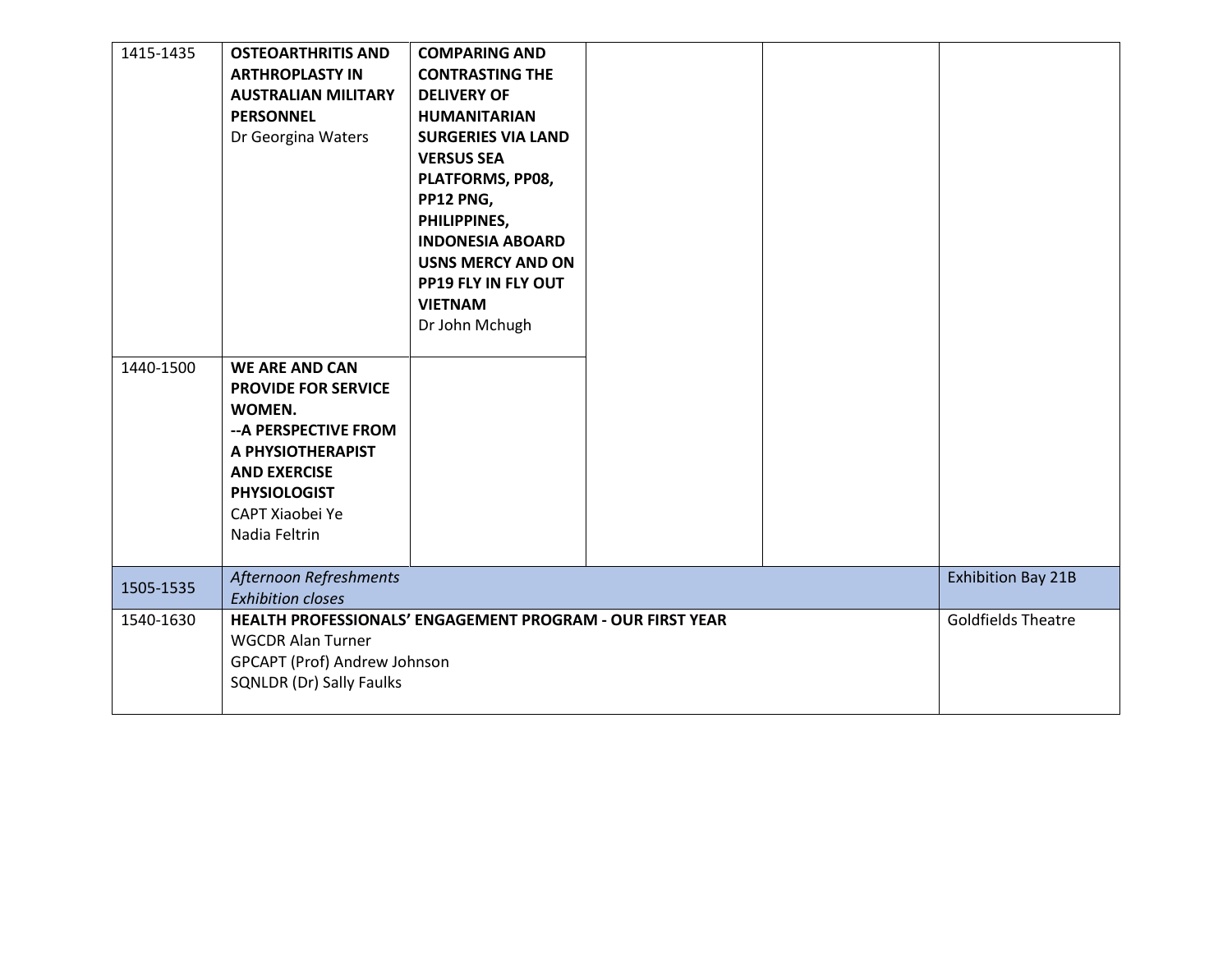| 1415-1435 | <b>OSTEOARTHRITIS AND</b><br><b>ARTHROPLASTY IN</b><br><b>AUSTRALIAN MILITARY</b><br><b>PERSONNEL</b><br>Dr Georgina Waters                                                                   | <b>COMPARING AND</b><br><b>CONTRASTING THE</b><br><b>DELIVERY OF</b><br><b>HUMANITARIAN</b><br><b>SURGERIES VIA LAND</b><br><b>VERSUS SEA</b><br>PLATFORMS, PP08,<br>PP12 PNG,<br>PHILIPPINES,<br><b>INDONESIA ABOARD</b><br><b>USNS MERCY AND ON</b><br>PP19 FLY IN FLY OUT<br><b>VIETNAM</b><br>Dr John Mchugh |  |                           |
|-----------|-----------------------------------------------------------------------------------------------------------------------------------------------------------------------------------------------|------------------------------------------------------------------------------------------------------------------------------------------------------------------------------------------------------------------------------------------------------------------------------------------------------------------|--|---------------------------|
| 1440-1500 | <b>WE ARE AND CAN</b><br><b>PROVIDE FOR SERVICE</b><br>WOMEN.<br>-- A PERSPECTIVE FROM<br>A PHYSIOTHERAPIST<br><b>AND EXERCISE</b><br><b>PHYSIOLOGIST</b><br>CAPT Xiaobei Ye<br>Nadia Feltrin |                                                                                                                                                                                                                                                                                                                  |  |                           |
| 1505-1535 | Afternoon Refreshments<br><b>Exhibition closes</b>                                                                                                                                            |                                                                                                                                                                                                                                                                                                                  |  | <b>Exhibition Bay 21B</b> |
| 1540-1630 | HEALTH PROFESSIONALS' ENGAGEMENT PROGRAM - OUR FIRST YEAR<br><b>WGCDR Alan Turner</b><br>GPCAPT (Prof) Andrew Johnson<br><b>SQNLDR (Dr) Sally Faulks</b>                                      |                                                                                                                                                                                                                                                                                                                  |  | <b>Goldfields Theatre</b> |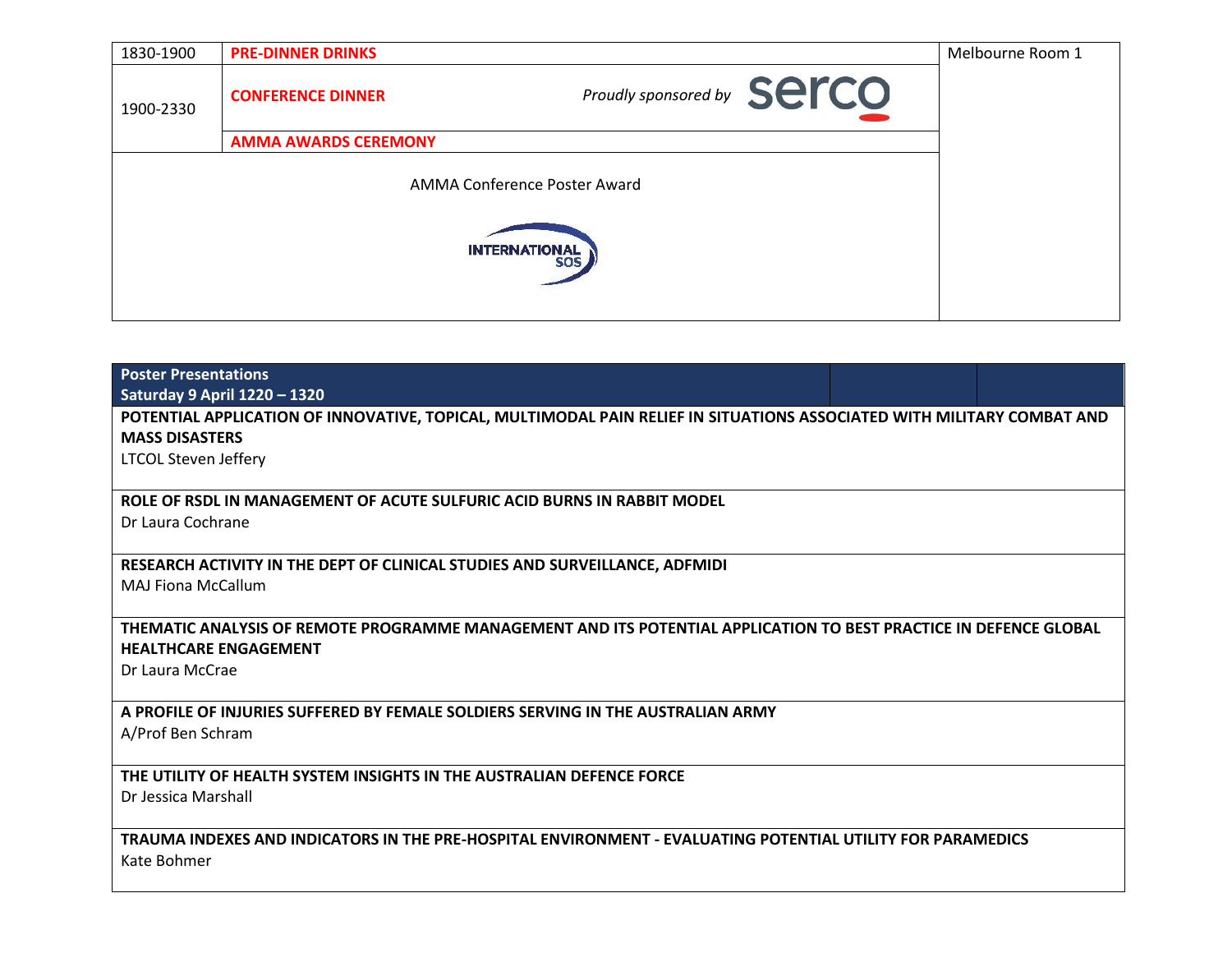| 1830-1900     | <b>PRE-DINNER DRINKS</b>    |                            | Melbourne Room 1 |  |  |  |
|---------------|-----------------------------|----------------------------|------------------|--|--|--|
| 1900-2330     | <b>CONFERENCE DINNER</b>    | Proudly sponsored by SerCO |                  |  |  |  |
|               | <b>AMMA AWARDS CEREMONY</b> |                            |                  |  |  |  |
|               |                             |                            |                  |  |  |  |
| INTERNATIONAL |                             |                            |                  |  |  |  |
|               |                             |                            |                  |  |  |  |

| <b>Poster Presentations</b>                                                                                            |  |
|------------------------------------------------------------------------------------------------------------------------|--|
| <b>Saturday 9 April 1220 - 1320</b>                                                                                    |  |
| POTENTIAL APPLICATION OF INNOVATIVE, TOPICAL, MULTIMODAL PAIN RELIEF IN SITUATIONS ASSOCIATED WITH MILITARY COMBAT AND |  |
| <b>MASS DISASTERS</b>                                                                                                  |  |
| <b>LTCOL Steven Jeffery</b>                                                                                            |  |
|                                                                                                                        |  |
| ROLE OF RSDL IN MANAGEMENT OF ACUTE SULFURIC ACID BURNS IN RABBIT MODEL                                                |  |
| Dr Laura Cochrane                                                                                                      |  |
|                                                                                                                        |  |
| RESEARCH ACTIVITY IN THE DEPT OF CLINICAL STUDIES AND SURVEILLANCE, ADFMIDI                                            |  |
| <b>MAJ Fiona McCallum</b>                                                                                              |  |
|                                                                                                                        |  |
| THEMATIC ANALYSIS OF REMOTE PROGRAMME MANAGEMENT AND ITS POTENTIAL APPLICATION TO BEST PRACTICE IN DEFENCE GLOBAL      |  |
| <b>HEALTHCARE ENGAGEMENT</b>                                                                                           |  |
| Dr Laura McCrae                                                                                                        |  |
|                                                                                                                        |  |
| A PROFILE OF INJURIES SUFFERED BY FEMALE SOLDIERS SERVING IN THE AUSTRALIAN ARMY                                       |  |
| A/Prof Ben Schram                                                                                                      |  |
|                                                                                                                        |  |
| THE UTILITY OF HEALTH SYSTEM INSIGHTS IN THE AUSTRALIAN DEFENCE FORCE                                                  |  |
| Dr Jessica Marshall                                                                                                    |  |
|                                                                                                                        |  |
| TRAUMA INDEXES AND INDICATORS IN THE PRE-HOSPITAL ENVIRONMENT - EVALUATING POTENTIAL UTILITY FOR PARAMEDICS            |  |
| Kate Bohmer                                                                                                            |  |
|                                                                                                                        |  |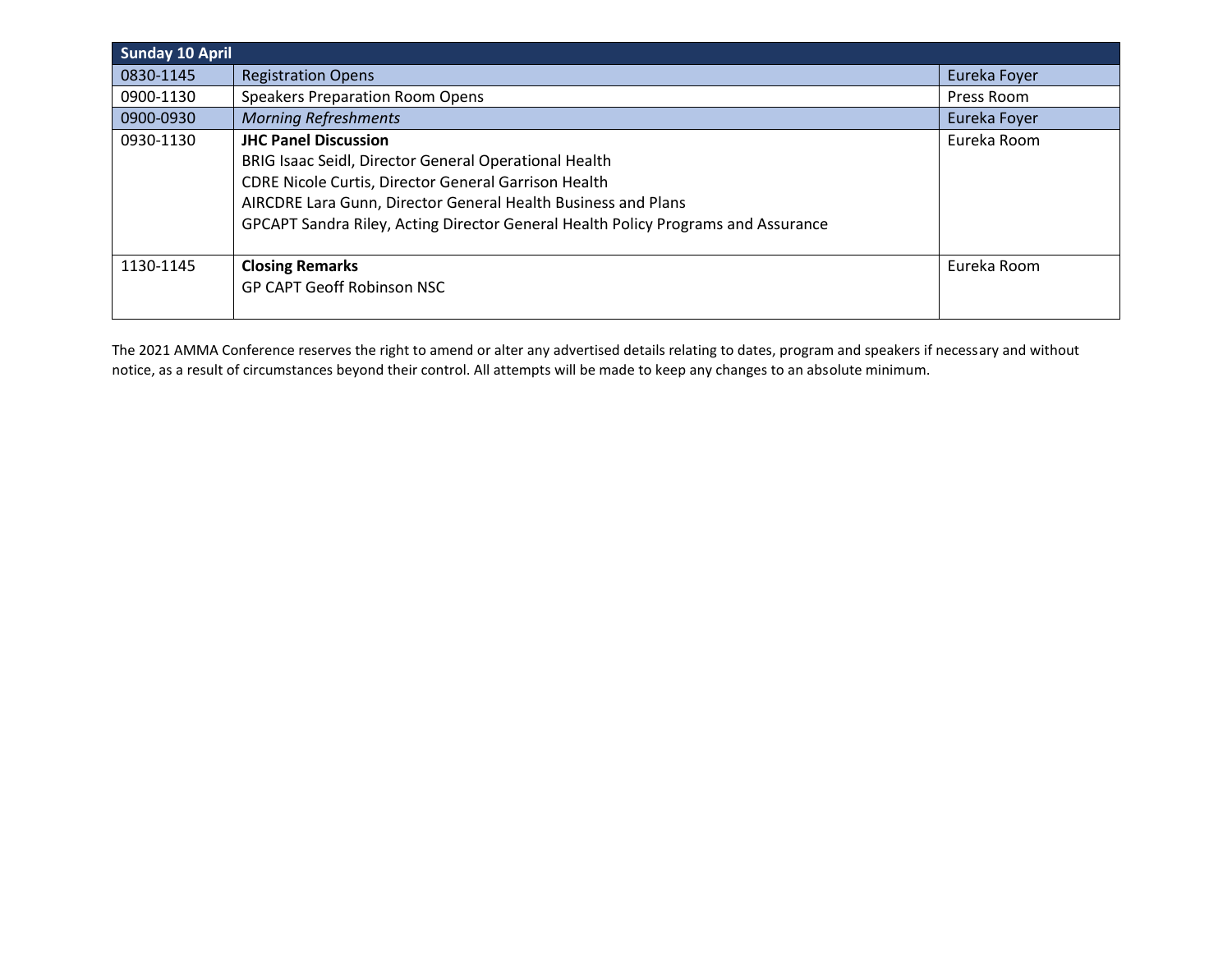| <b>Sunday 10 April</b> |                                                                                                                                                                                                                                                                                                           |              |
|------------------------|-----------------------------------------------------------------------------------------------------------------------------------------------------------------------------------------------------------------------------------------------------------------------------------------------------------|--------------|
| 0830-1145              | <b>Registration Opens</b>                                                                                                                                                                                                                                                                                 | Eureka Foyer |
| 0900-1130              | <b>Speakers Preparation Room Opens</b>                                                                                                                                                                                                                                                                    | Press Room   |
| 0900-0930              | <b>Morning Refreshments</b>                                                                                                                                                                                                                                                                               | Eureka Foyer |
| 0930-1130              | <b>JHC Panel Discussion</b><br>BRIG Isaac Seidl, Director General Operational Health<br><b>CDRE Nicole Curtis, Director General Garrison Health</b><br>AIRCDRE Lara Gunn, Director General Health Business and Plans<br>GPCAPT Sandra Riley, Acting Director General Health Policy Programs and Assurance | Eureka Room  |
| 1130-1145              | <b>Closing Remarks</b><br><b>GP CAPT Geoff Robinson NSC</b>                                                                                                                                                                                                                                               | Eureka Room  |

The 2021 AMMA Conference reserves the right to amend or alter any advertised details relating to dates, program and speakers if necessary and without notice, as a result of circumstances beyond their control. All attempts will be made to keep any changes to an absolute minimum.